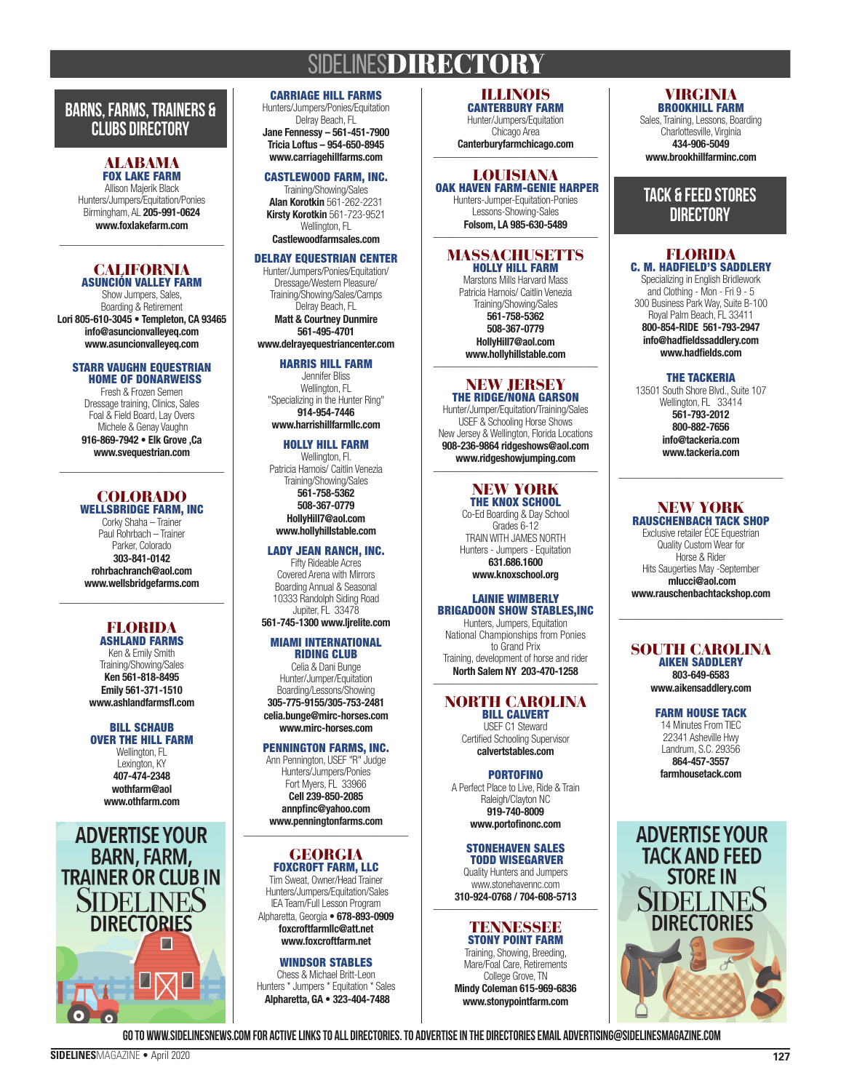## **SIDELINESDIRECTORY**

### **BARNS, FARMS, TRAINERS & CLUBS DIRECTORY**

#### ALABAMA FOX LAKE FARM

Allison Majerik Black Hunters/Jumpers/Equitation/Ponies Birmingham, AL 205-991-0624 www.foxlakefarm.com

### **CALIFORNIA** ASUNCIÓN VALLEY FARM

\_\_\_\_\_\_\_\_\_\_\_\_\_\_\_\_\_\_\_\_\_\_\_\_\_\_\_\_\_\_\_\_

Show Jumpers, Sales, Boarding & Retirement Lori 805-610-3045 • Templeton, CA 93465 info@asuncionvalleyeq.com www.asuncionvalleyeq.com

### STARR VAUGHN EQUESTRIAN HOME OF DONARWEISS

Fresh & Frozen Semen Dressage training, Clinics, Sales Foal & Field Board, Lay Overs Michele & Genay Vaughn 916-869-7942 • Elk Grove ,Ca www.svequestrian.com

### COLORADO WELLSBRIDGE FARM, INC

\_\_\_\_\_\_\_\_\_\_\_\_\_\_\_\_\_\_\_\_\_\_\_\_\_\_\_\_\_\_\_\_

Corky Shaha – Trainer Paul Rohrbach – Trainer Parker, Colorado 303-841-0142 rohrbachranch@aol.com www.wellsbridgefarms.com

#### FLORIDA ASHLAND FARMS

 $\frac{1}{2}$  ,  $\frac{1}{2}$  ,  $\frac{1}{2}$  ,  $\frac{1}{2}$  ,  $\frac{1}{2}$  ,  $\frac{1}{2}$  ,  $\frac{1}{2}$  ,  $\frac{1}{2}$  ,  $\frac{1}{2}$  ,  $\frac{1}{2}$  ,  $\frac{1}{2}$  ,  $\frac{1}{2}$  ,  $\frac{1}{2}$  ,  $\frac{1}{2}$  ,  $\frac{1}{2}$  ,  $\frac{1}{2}$  ,  $\frac{1}{2}$  ,  $\frac{1}{2}$  ,  $\frac{1$ 

Ken & Emily Smith Training/Showing/Sales Ken 561-818-8495 Emily 561-371-1510 www.ashlandfarmsfl.com

#### BILL SCHAUB OVER THE HILL FARM Wellington, FL

Lexington, KY 407-474-2348 wothfarm@aol www.othfarm.com



### CARRIAGE HILL FARMS

Hunters/Jumpers/Ponies/Equitation Delray Beach, FL Jane Fennessy – 561-451-7900 Tricia Loftus – 954-650-8945 www.carriagehillfarms.com

### CASTLEWOOD FARM, INC.

Training/Showing/Sales Alan Korotkin 561-262-2231 Kirsty Korotkin 561-723-9521 Wellington, FL

### Castlewoodfarmsales.com

### DELRAY EQUESTRIAN CENTER

Hunter/Jumpers/Ponies/Equitation/ Dressage/Western Pleasure/ Training/Showing/Sales/Camps Delray Beach, FL Matt & Courtney Dunmire 561-495-4701 www.delrayequestriancenter.com

### HARRIS HILL FARM

Jennifer Bliss Wellington, FL "Specializing in the Hunter Ring" 914-954-7446 www.harrishillfarmllc.com

### HOLLY HILL FARM

Wellington, Fl. Patricia Harnois/ Caitlin Venezia Training/Showing/Sales 561-758-5362 508-367-0779

HollyHill7@aol.com www.hollyhillstable.com

### LADY JEAN RANCH, INC.

Fifty Rideable Acres Covered Arena with Mirrors Boarding Annual & Seasonal 10333 Randolph Siding Road Jupiter, FL 33478

### 561-745-1300 www.ljrelite.com

#### MIAMI INTERNATIONAL RIDING CLUB

Celia & Dani Bunge Hunter/Jumper/Equitation Boarding/Lessons/Showing 305-775-9155/305-753-2481 celia.bunge@mirc-horses.com www.mirc-horses.com

### PENNINGTON FARMS, INC.

Ann Pennington, USEF "R" Judge Hunters/Jumpers/Ponies Fort Myers, FL 33966 Cell 239-850-2085 annpfinc@yahoo.com www.penningtonfarms.com \_\_\_\_\_\_\_\_\_\_\_\_\_\_\_\_\_\_\_\_\_\_\_\_\_\_\_\_\_\_\_\_

### GEORGIA

FOXCROFT FARM, LLC Tim Sweat, Owner/Head Trainer Hunters/Jumpers/Equitation/Sales IEA Team/Full Lesson Program Alpharetta, Georgia • 678-893-0909 foxcroftfarmllc@att.net www.foxcroftfarm.net

WINDSOR STABLES Chess & Michael Britt-Leon Hunters \* Jumpers \* Equitation \* Sales Alpharetta, GA • 323-404-7488

#### ILLINOIS CANTERBURY FARM

Hunter/Jumpers/Equitation Chicago Area Canterburyfarmchicago.com

### LOUISIANA OAK HAVEN FARM-GENIE HARPER

Hunters-Jumper-Equitation-Ponies Lessons-Showing-Sales Folsom, LA 985-630-5489

### **MASSACHUSETTS** HOLLY HILL FARM

Marstons Mills Harvard Mass Patricia Harnois/ Caitlin Venezia Training/Showing/Sales 561-758-5362 508-367-0779 HollyHill7@aol.com www.hollyhillstable.com

### NEW JERSEY

THE RIDGE/NONA GARSON Hunter/Jumper/Equitation/Training/Sales USEF & Schooling Horse Shows New Jersey & Wellington, Florida Locations 908-236-9864 ridgeshows@aol.com www.ridgeshowjumping.com \_\_\_\_\_\_\_\_\_\_\_\_\_\_\_\_\_\_\_\_\_\_\_\_\_\_\_\_\_\_\_\_

### NEW YORK

THE KNOX SCHOOL Co-Ed Boarding & Day School Grades 6-12 TRAIN WITH JAMES NORTH Hunters - Jumpers - Equitation

631.686.1600 www.knoxschool.org

### LAINIE WIMBERLY BRIGADOON SHOW STABLES,INC

Hunters, Jumpers, Equitation National Championships from Ponies to Grand Prix Training, development of horse and rider North Salem NY 203-470-1258

### NORTH CAROLINA **BILL CALVERT**

USEF C1 Steward Certified Schooling Supervisor calvertstables.com

### **PORTOFINO**

A Perfect Place to Live, Ride & Train Raleigh/Clayton NC 919-740-8009 www.portofinonc.com

#### STONEHAVEN SALES TODD WISEGARVER

Quality Hunters and Jumpers www.stonehavennc.com 310-924-0768 / 704-608-5713 \_\_\_\_\_\_\_\_\_\_\_\_\_\_\_\_\_\_\_\_\_\_\_\_\_\_\_\_\_\_\_\_

### TENNESSEE STONY POINT FARM

Training, Showing, Breeding, Mare/Foal Care, Retirements College Grove, TN Mindy Coleman 615-969-6836 www.stonypointfarm.com

### VIRGINIA BROOKHILL FARM

Sales, Training, Lessons, Boarding Charlottesville, Virginia 434-906-5049 www.brookhillfarminc.com

### **TACK & FEED STORES DIRECTORY**

### FLORIDA C. M. HADFIELD'S SADDLERY

Specializing in English Bridlework and Clothing - Mon - Fri 9 - 5 300 Business Park Way, Suite B-100 Royal Palm Beach, FL 33411 800-854-RIDE 561-793-2947 info@hadfieldssaddlery.com www.hadfields.com

### THE TACKERIA

13501 South Shore Blvd., Suite 107 Wellington, FL 33414 561-793-2012 800-882-7656 info@tackeria.com www.tackeria.com

#### NEW YORK RAUSCHENBACH TACK SHOP

Exclusive retailer ÉCE Equestrian Quality Custom Wear for Horse & Rider Hits Saugerties May -September mlucci@aol.com www.rauschenbachtackshop.com

\_\_\_\_\_\_\_\_\_\_\_\_\_\_\_\_\_\_\_\_\_\_\_\_\_\_\_\_\_\_\_\_

### SOUTH CAROLINA AIKEN SADDLERY 803-649-6583

www.aikensaddlery.com

FARM HOUSE TACK 14 Minutes From TIEC 22341 Asheville Hwy Landrum, S.C. 29356 864-457-3557

farmhousetack.com



**Go to www.sidelinesnews.com for active links to all Directories. To advertise in the Directories email advertising@sidelinesmagazine.com**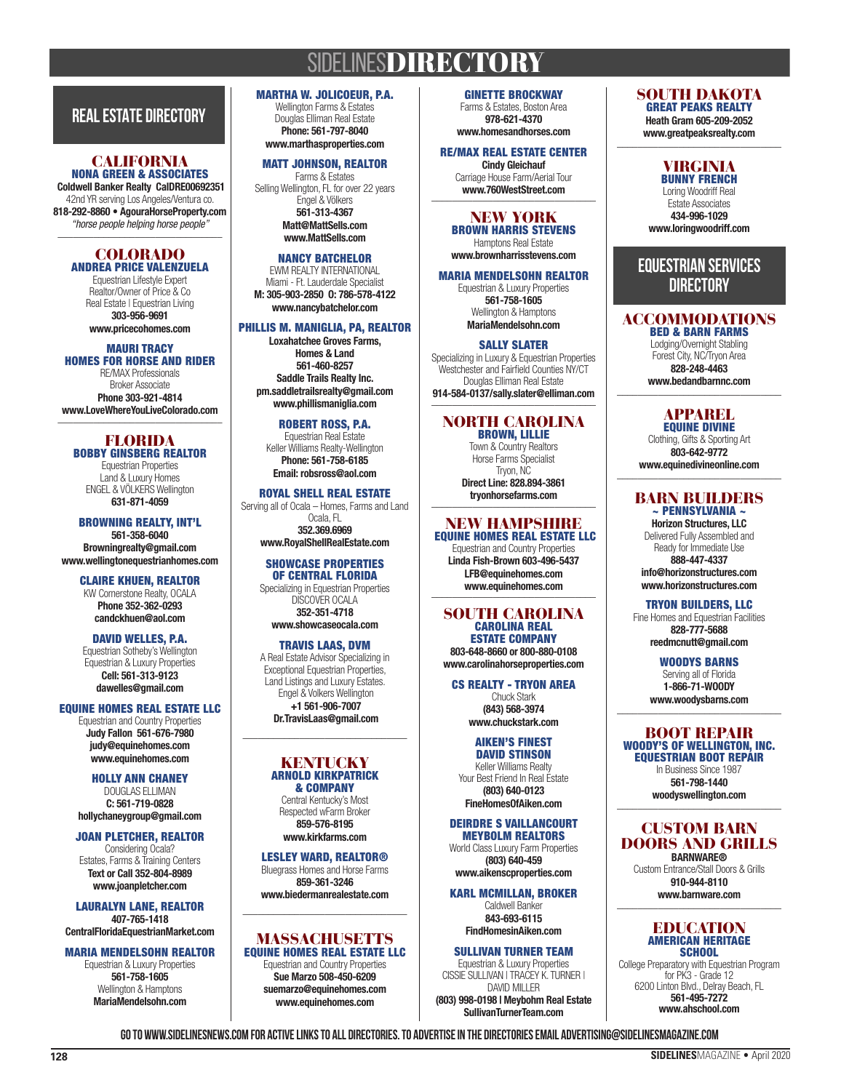# **SIDELINESDIRECTORY**

### **REAL ESTATE DIRECTORY**

#### CALIFORNIA NONA GREEN & ASSOCIATES

 Coldwell Banker Realty CalDRE00692351 42nd YR serving Los Angeles/Ventura co. 818-292-8860 • AgouraHorseProperty.com *"horse people helping horse people"* \_\_\_\_\_\_\_\_\_\_\_\_\_\_\_\_\_\_\_\_\_\_\_\_\_\_\_\_\_\_\_\_

#### COLORADO ANDREA PRICE VALENZUELA

Equestrian Lifestyle Expert Realtor/Owner of Price & Co Real Estate | Equestrian Living 303-956-9691 www.pricecohomes.com

### MAURI TRACY

HOMES FOR HORSE AND RIDER RE/MAX Professionals Broker Associate Phone 303-921-4814 www.LoveWhereYouLiveColorado.com

 $\overline{\phantom{a}}$  , where the contract of the contract of the contract of the contract of the contract of the contract of the contract of the contract of the contract of the contract of the contract of the contract of the contr FLORIDA BOBBY GINSBERG REALTOR Equestrian Properties Land & Luxury Homes

ENGEL & VÖLKERS Wellington 631-871-4059 BROWNING REALTY, INT'L

561-358-6040 Browningrealty@gmail.com www.wellingtonequestrianhomes.com

> CLAIRE KHUEN, REALTOR KW Cornerstone Realty, OCALA Phone 352-362-0293 candckhuen@aol.com

### DAVID WELLES, P.A.

Equestrian Sotheby's Wellington Equestrian & Luxury Properties Cell: 561-313-9123 dawelles@gmail.com

### EQUINE HOMES REAL ESTATE LLC

Equestrian and Country Properties Judy Fallon 561-676-7980 judy@equinehomes.com www.equinehomes.com

HOLLY ANN CHANEY DOUGLAS ELLIMAN C: 561-719-0828 hollychaneygroup@gmail.com

### JOAN PLETCHER, REALTOR

Considering Ocala? Estates, Farms & Training Centers Text or Call 352-804-8989 www.joanpletcher.com

LAURALYN LANE, REALTOR 407-765-1418 CentralFloridaEquestrianMarket.com

### MARIA MENDELSOHN REALTOR

Equestrian & Luxury Properties 561-758-1605 Wellington & Hamptons MariaMendelsohn.com

MARTHA W. JOLICOEUR, P.A. Wellington Farms & Estates

Douglas Elliman Real Estate Phone: 561-797-8040 www.marthasproperties.com

#### MATT JOHNSON, REALTOR Farms & Estates

Selling Wellington, FL for over 22 years Engel & Völkers 561-313-4367 Matt@MattSells.com www.MattSells.com

### NANCY BATCHELOR

EWM REALTY INTERNATIONAL Miami - Ft. Lauderdale Specialist M: 305-903-2850 O: 786-578-4122 www.nancybatchelor.com

### PHILLIS M. MANIGLIA, PA, REALTOR

Loxahatchee Groves Farms, Homes & Land 561-460-8257 Saddle Trails Realty Inc. pm.saddletrailsrealty@gmail.com www.phillismaniglia.com

ROBERT ROSS, P.A. Equestrian Real Estate Keller Williams Realty-Wellington Phone: 561-758-6185 Email: robsross@aol.com

#### ROYAL SHELL REAL ESTATE Serving all of Ocala – Homes, Farms and Land Ocala, FL 352.369.6969

www.RoyalShellRealEstate.com SHOWCASE PROPERTIES OF CENTRAL FLORIDA

Specializing in Equestrian Properties DISCOVER OCALA 352-351-4718 www.showcaseocala.com

### TRAVIS LAAS, DVM

A Real Estate Advisor Specializing in Exceptional Equestrian Properties, Land Listings and Luxury Estates. Engel & Volkers Wellington +1 561-906-7007 Dr.TravisLaas@gmail.com

### **KENTUCKY** ARNOLD KIRKPATRICK

 $\mathcal{L}=\mathcal{L}=\mathcal{L}=\mathcal{L}=\mathcal{L}=\mathcal{L}=\mathcal{L}=\mathcal{L}=\mathcal{L}=\mathcal{L}=\mathcal{L}=\mathcal{L}=\mathcal{L}=\mathcal{L}=\mathcal{L}=\mathcal{L}=\mathcal{L}=\mathcal{L}=\mathcal{L}=\mathcal{L}=\mathcal{L}=\mathcal{L}=\mathcal{L}=\mathcal{L}=\mathcal{L}=\mathcal{L}=\mathcal{L}=\mathcal{L}=\mathcal{L}=\mathcal{L}=\mathcal{L}=\mathcal{L}=\mathcal{L}=\mathcal{L}=\mathcal{L}=\mathcal{L}=\mathcal{$ 

& COMPANY Central Kentucky's Most Respected wFarm Broker 859-576-8195 www.kirkfarms.com

### LESLEY WARD, REALTOR®

Bluegrass Homes and Horse Farms 859-361-3246 www.biedermanrealestate.com

### \_\_\_\_\_\_\_\_\_\_\_\_\_\_\_\_\_\_\_\_\_\_\_\_\_\_\_\_\_\_\_\_ MASSACHUSETTS

EQUINE HOMES REAL ESTATE LLC Equestrian and Country Properties Sue Marzo 508-450-6209 suemarzo@equinehomes.com www.equinehomes.com

GINETTE BROCKWAY Farms & Estates, Boston Area 978-621-4370 www.homesandhorses.com

### RE/MAX REAL ESTATE CENTER

Cindy Gleichauf Carriage House Farm/Aerial Tour www.760WestStreet.com

### NEW YORK

BROWN HARRIS STEVENS Hamptons Real Estate www.brownharrisstevens.com

MARIA MENDELSOHN REALTOR Equestrian & Luxury Properties 561-758-1605 Wellington & Hamptons MariaMendelsohn.com

SALLY SLATER Specializing in Luxury & Equestrian Properties Westchester and Fairfield Counties NY/CT Douglas Elliman Real Estate 914-584-0137/sally.slater@elliman.com \_\_\_\_\_\_\_\_\_\_\_\_\_\_\_\_\_\_\_\_\_\_\_\_\_\_\_\_\_\_\_\_

### NORTH CAROLINA

BROWN, LILLIE Town & Country Realtors Horse Farms Specialist Tryon, NC Direct Line: 828.894-3861

trvonhorsefarms.com

#### NEW HAMPSHIRE EQUINE HOMES REAL ESTATE LLC

Equestrian and Country Properties Linda Fish-Brown 603-496-5437 LFB@equinehomes.com www.equinehomes.com

### SOUTH CAROLINA CAROLINA REAL

ESTATE COMPANY 803-648-8660 or 800-880-0108 www.carolinahorseproperties.com

### CS REALTY - TRYON AREA

Chuck Stark (843) 568-3974 www.chuckstark.com

#### AIKEN'S FINEST DAVID STINSON

Keller Williams Realty Your Best Friend In Real Estate (803) 640-0123 FineHomesOfAiken.com

#### DEIRDRE S VAILLANCOURT MEYBOLM REALTORS

World Class Luxury Farm Properties (803) 640-459 www.aikenscproperties.com

KARL MCMILLAN, BROKER

Caldwell Banker 843-693-6115 FindHomesinAiken.com

#### SULLIVAN TURNER TEAM Equestrian & Luxury Properties

CISSIE SULLIVAN | TRACEY K. TURNER | DAVID MILLER (803) 998-0198 | Meybohm Real Estate SullivanTurnerTeam.com

SOUTH DAKOTA GREAT PEAKS REALTY

Heath Gram 605-209-2052 www.greatpeaksrealty.com \_\_\_\_\_\_\_\_\_\_\_\_\_\_\_\_\_\_\_\_\_\_\_\_\_\_\_\_\_\_\_\_

### VIRGINIA

BUNNY FRENCH Loring Woodriff Real Estate Associates 434-996-1029 www.loringwoodriff.com

### **EQUESTRIAN SERVICES DIRECTORY**

#### ACCOMMODATIONS BED & BARN FARMS

Lodging/Overnight Stabling Forest City, NC/Tryon Area 828-248-4463 www.bedandbarnnc.com

> APPAREL EQUINE DIVINE

Clothing, Gifts & Sporting Art 803-642-9772 www.equinedivineonline.com

### BARN BUILDERS  $\sim$  PENNSYLVANIA  $\sim$

Horizon Structures, LLC Delivered Fully Assembled and Ready for Immediate Use

888-447-4337 info@horizonstructures.com www.horizonstructures.com

### TRYON BUILDERS, LLC

Fine Homes and Equestrian Facilities 828-777-5688 reedmcnutt@gmail.com

> WOODYS BARNS Serving all of Florida 1-866-71-WOODY www.woodysbarns.com

### BOOT REPAIR

WOODY'S OF WELLINGTON, INC. EQUESTRIAN BOOT REPAIR In Business Since 1987 561-798-1440 woodyswellington.com

### CUSTOM BARN DOORS AND GRILLS **BARNWARE®**

Custom Entrance/Stall Doors & Grills 910-944-8110 www.barnware.com

### EDUCATION AMERICAN HERITAGE **SCHOOL**

College Preparatory with Equestrian Program for PK3 - Grade 12 6200 Linton Blvd., Delray Beach, FL 561-495-7272 www.ahschool.com

**Go to www.sidelinesnews.com for active links to all Directories. To advertise in the Directories email advertising@sidelinesmagazine.com**